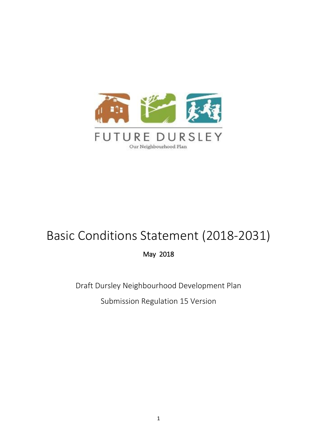

# Basic Conditions Statement (2018-2031)

May 2018

Draft Dursley Neighbourhood Development Plan

Submission Regulation 15 Version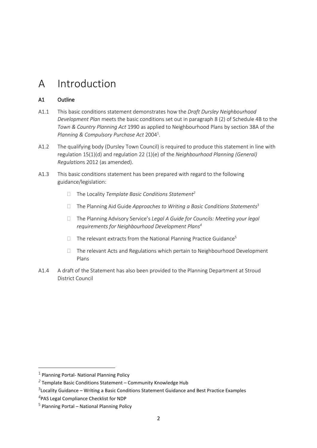## A Introduction

### A1 Outline

- A1.1 This basic conditions statement demonstrates how the *Draft Dursley Neighbourhood Development Plan* meets the basic conditions set out in paragraph 8 (2) of Schedule 4B to the *Town & Country Planning Act* 1990 as applied to Neighbourhood Plans by section 38A of the *Planning & Compulsory Purchase Act* 2004<sup>1</sup> .
- A1.2 The qualifying body (Dursley Town Council) is required to produce this statement in line with regulation 15(1)(d) and regulation 22 (1)(e) of the *Neighbourhood Planning (General) Regulation*s 2012 (as amended).
- A1.3 This basic conditions statement has been prepared with regard to the following guidance/legislation:
	- The Locality *Template Basic Conditions Statement<sup>2</sup>*
	- The Planning Aid Guide *Approaches to Writing a Basic Conditions Statements*<sup>3</sup>
	- The Planning Advisory Service's *Legal A Guide for Councils: Meeting your legal requirements for Neighbourhood Development Plans<sup>4</sup>*
	- $\Box$  The relevant extracts from the National Planning Practice Guidance<sup>5</sup>
	- $\Box$  The relevant Acts and Regulations which pertain to Neighbourhood Development Plans
- A1.4 A draft of the Statement has also been provided to the Planning Department at Stroud District Council

 $^1$  Planning Portal- National Planning Policy

*<sup>2</sup>* Template Basic Conditions Statement – Community Knowledge Hub

 $3$ Locality Guidance – Writing a Basic Conditions Statement Guidance and Best Practice Examples

*<sup>4</sup>* PAS Legal Compliance Checklist for NDP

<sup>&</sup>lt;sup>5</sup> Planning Portal – National Planning Policy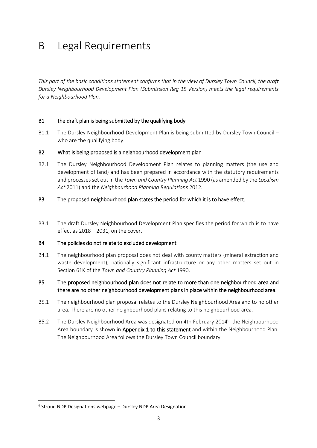## B Legal Requirements

This part of the basic conditions statement confirms that in the view of Dursley Town Council, the draft *Dursley Neighbourhood Development Plan (Submission Reg 15 Version) meets the legal requirements for a Neighbourhood Plan.*

### B1 the draft plan is being submitted by the qualifying body

B1.1 The Dursley Neighbourhood Development Plan is being submitted by Dursley Town Council – who are the qualifying body.

### B2 What is being proposed is a neighbourhood development plan

B2.1 The Dursley Neighbourhood Development Plan relates to planning matters (the use and development of land) and has been prepared in accordance with the statutory requirements and processesset out in the *Town and Country Planning Act* 1990 (as amended by the *Localism Act* 2011) and the *Neighbourhood Planning Regulations* 2012.

### B3 The proposed neighbourhood plan states the period for which it is to have effect.

B3.1 The draft Dursley Neighbourhood Development Plan specifies the period for which is to have effect as 2018 – 2031, on the cover.

#### B4 The policies do not relate to excluded development

B4.1 The neighbourhood plan proposal does not deal with county matters (mineral extraction and waste development), nationally significant infrastructure or any other matters set out in Section 61K of the *Town and Country Planning Act* 1990.

### B5 The proposed neighbourhood plan does not relate to more than one neighbourhood area and there are no other neighbourhood development plans in place within the neighbourhood area.

- B5.1 The neighbourhood plan proposal relates to the Dursley Neighbourhood Area and to no other area. There are no other neighbourhood plans relating to this neighbourhood area.
- B5.2 The Dursley Neighbourhood Area was designated on 4th February 2014<sup>6</sup>, the Neighbourhood Area boundary is shown in Appendix 1 to this statement and within the Neighbourhood Plan. The Neighbourhood Area follows the Dursley Town Council boundary.

 $6$  Stroud NDP Designations webpage – Dursley NDP Area Designation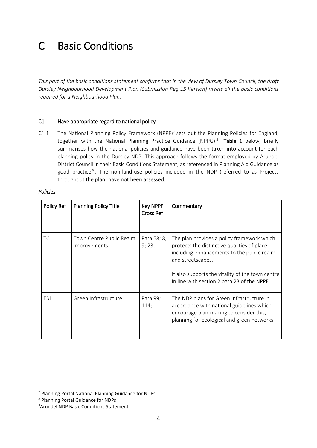## C Basic Conditions

This part of the basic conditions statement confirms that in the view of Dursley Town Council, the draft *Dursley Neighbourhood Development Plan (Submission Reg 15 Version) meets all the basic conditions required for a Neighbourhood Plan.*

### C1 Have appropriate regard to national policy

 $C1.1$  The National Planning Policy Framework (NPPF)<sup>7</sup> sets out the Planning Policies for England, together with the National Planning Practice Guidance (NPPG)<sup>8</sup>. **Table 1** below, briefly summarises how the national policies and guidance have been taken into account for each planning policy in the Dursley NDP. This approach follows the format employed by Arundel District Council in their Basic Conditions Statement, as referenced in Planning Aid Guidance as good practice<sup>9</sup>. The non-land-use policies included in the NDP (referred to as Projects throughout the plan) have not been assessed.

| Policy Ref | <b>Planning Policy Title</b>             | Key NPPF<br>Cross Ref | Commentary                                                                                                                                                                                                                                                      |
|------------|------------------------------------------|-----------------------|-----------------------------------------------------------------------------------------------------------------------------------------------------------------------------------------------------------------------------------------------------------------|
| TC1        | Town Centre Public Realm<br>Improvements | Para 58; 8;<br>9;23;  | The plan provides a policy framework which<br>protects the distinctive qualities of place<br>including enhancements to the public realm<br>and streetscapes.<br>It also supports the vitality of the town centre<br>in line with section 2 para 23 of the NPPF. |
| ES1        | Green Infrastructure                     | Para 99;<br>114;      | The NDP plans for Green Infrastructure in<br>accordance with national guidelines which<br>encourage plan-making to consider this,<br>planning for ecological and green networks.                                                                                |

### *Policies*

<sup>7</sup> Planning Portal National Planning Guidance for NDPs

<sup>8</sup> Planning Portal Guidance for NDPs

<sup>9</sup>Arundel NDP Basic Conditions Statement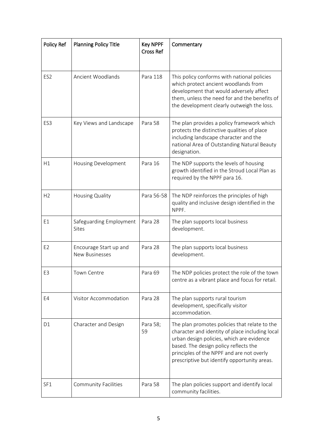| Policy Ref      | <b>Planning Policy Title</b>                    | <b>Key NPPF</b><br><b>Cross Ref</b> | Commentary                                                                                                                                                                                                                                                                          |
|-----------------|-------------------------------------------------|-------------------------------------|-------------------------------------------------------------------------------------------------------------------------------------------------------------------------------------------------------------------------------------------------------------------------------------|
| ES <sub>2</sub> | Ancient Woodlands                               | Para 118                            | This policy conforms with national policies<br>which protect ancient woodlands from<br>development that would adversely affect<br>them, unless the need for and the benefits of<br>the development clearly outweigh the loss.                                                       |
| ES <sub>3</sub> | Key Views and Landscape                         | Para 58                             | The plan provides a policy framework which<br>protects the distinctive qualities of place<br>including landscape character and the<br>national Area of Outstanding Natural Beauty<br>designation.                                                                                   |
| H1              | Housing Development                             | Para 16                             | The NDP supports the levels of housing<br>growth identified in the Stroud Local Plan as<br>required by the NPPF para 16.                                                                                                                                                            |
| H <sub>2</sub>  | Housing Quality                                 | Para 56-58                          | The NDP reinforces the principles of high<br>quality and inclusive design identified in the<br>NPPF.                                                                                                                                                                                |
| E1              | Safeguarding Employment<br>Sites                | Para 28                             | The plan supports local business<br>development.                                                                                                                                                                                                                                    |
| E <sub>2</sub>  | Encourage Start up and<br><b>New Businesses</b> | Para 28                             | The plan supports local business<br>development.                                                                                                                                                                                                                                    |
| E <sub>3</sub>  | <b>Town Centre</b>                              | Para 69                             | The NDP policies protect the role of the town<br>centre as a vibrant place and focus for retail.                                                                                                                                                                                    |
| E4              | Visitor Accommodation                           | Para 28                             | The plan supports rural tourism<br>development, specifically visitor<br>accommodation.                                                                                                                                                                                              |
| D <sub>1</sub>  | Character and Design                            | Para 58;<br>59                      | The plan promotes policies that relate to the<br>character and identity of place including local<br>urban design policies, which are evidence<br>based. The design policy reflects the<br>principles of the NPPF and are not overly<br>prescriptive but identify opportunity areas. |
| SF1             | <b>Community Facilities</b>                     | Para 58                             | The plan policies support and identify local<br>community facilities.                                                                                                                                                                                                               |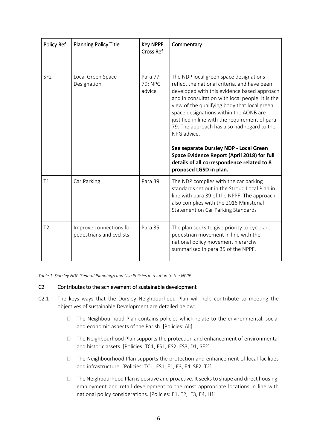| Policy Ref      | <b>Planning Policy Title</b>                        | <b>Key NPPF</b><br><b>Cross Ref</b> | Commentary                                                                                                                                                                                                                                                                                                                                                                                                                                                                                                                                                           |
|-----------------|-----------------------------------------------------|-------------------------------------|----------------------------------------------------------------------------------------------------------------------------------------------------------------------------------------------------------------------------------------------------------------------------------------------------------------------------------------------------------------------------------------------------------------------------------------------------------------------------------------------------------------------------------------------------------------------|
| SF <sub>2</sub> | Local Green Space<br>Designation                    | Para 77-<br>79; NPG<br>advice       | The NDP local green space designations<br>reflect the national criteria, and have been<br>developed with this evidence based approach<br>and in consultation with local people. It is the<br>view of the qualifying body that local green<br>space designations within the AONB are<br>justified in line with the requirement of para<br>79. The approach has also had regard to the<br>NPG advice.<br>See separate Dursley NDP - Local Green<br>Space Evidence Report (April 2018) for full<br>details of all correspondence related to 8<br>proposed LGSD in plan. |
| T1              | Car Parking                                         | Para 39                             | The NDP complies with the car parking<br>standards set out in the Stroud Local Plan in<br>line with para 39 of the NPPF. The approach<br>also complies with the 2016 Ministerial<br>Statement on Car Parking Standards                                                                                                                                                                                                                                                                                                                                               |
| T <sub>2</sub>  | Improve connections for<br>pedestrians and cyclists | Para 35                             | The plan seeks to give priority to cycle and<br>pedestrian movement in line with the<br>national policy movement hierarchy<br>summarised in para 35 of the NPPF.                                                                                                                                                                                                                                                                                                                                                                                                     |

*Table 1: Dursley NDP General Planning/Land Use Policies in relation to the NPPF*

### C2 Contributes to the achievement of sustainable development

- C2.1 The keys ways that the Dursley Neighbourhood Plan will help contribute to meeting the objectives of sustainable Development are detailed below:
	- $\Box$  The Neighbourhood Plan contains policies which relate to the environmental, social and economic aspects of the Parish. [Policies: All]
	- $\Box$  The Neighbourhood Plan supports the protection and enhancement of environmental and historic assets. [Policies: TC1, ES1, ES2, ES3, D1, SF2]
	- $\Box$  The Neighbourhood Plan supports the protection and enhancement of local facilities and infrastructure. [Policies: TC1, ES1, E1, E3, E4, SF2, T2]
	- $\Box$  The Neighbourhood Plan is positive and proactive. It seeks to shape and direct housing, employment and retail development to the most appropriate locations in line with national policy considerations. [Policies: E1, E2, E3, E4, H1]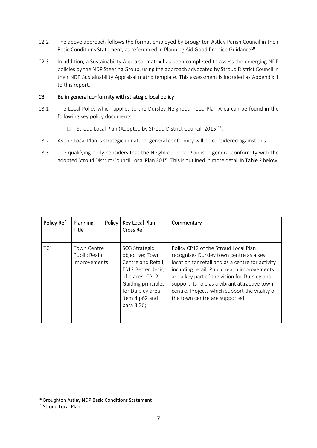- C2.2 The above approach follows the format employed by Broughton Astley Parish Council in their Basic Conditions Statement, as referenced in Planning Aid Good Practice Guidance<sup>10</sup>.
- C2.3 In addition, a Sustainability Appraisal matrix has been completed to assess the emerging NDP policies by the NDP Steering Group, using the approach advocated by Stroud District Council in their NDP Sustainability Appraisal matrix template. This assessment is included as Appendix 1 to this report.

### C3 Be in general conformity with strategic local policy

- C3.1 The Local Policy which applies to the Dursley Neighbourhood Plan Area can be found in the following key policy documents:
	- $\Box$  Stroud Local Plan (Adopted by Stroud District Council, 2015)<sup>11</sup>;
- C3.2 As the Local Plan is strategic in nature, general conformity will be considered against this.
- C3.3 The qualifying body considers that the Neighbourhood Plan is in general conformity with the adopted Stroud District Council Local Plan 2015. This is outlined in more detail in Table 2 below.

| Policy Ref      | Planning<br>Policy<br>Title                        | Key Local Plan<br><b>Cross Ref</b>                                                                                                                                         | Commentary                                                                                                                                                                                                                                                                                                                                                              |
|-----------------|----------------------------------------------------|----------------------------------------------------------------------------------------------------------------------------------------------------------------------------|-------------------------------------------------------------------------------------------------------------------------------------------------------------------------------------------------------------------------------------------------------------------------------------------------------------------------------------------------------------------------|
| TC <sub>1</sub> | <b>Town Centre</b><br>Public Realm<br>Improvements | SO3 Strategic<br>objective; Town<br>Centre and Retail;<br>ES12 Better design<br>of places; CP12;<br>Guiding principles<br>for Dursley area<br>item 4 p62 and<br>para 3.36; | Policy CP12 of the Stroud Local Plan<br>recognises Dursley town centre as a key<br>location for retail and as a centre for activity<br>including retail. Public realm improvements<br>are a key part of the vision for Dursley and<br>support its role as a vibrant attractive town<br>centre. Projects which support the vitality of<br>the town centre are supported. |

<sup>10</sup> Broughton Astley NDP Basic Conditions Statement

<sup>&</sup>lt;sup>11</sup> Stroud Local Plan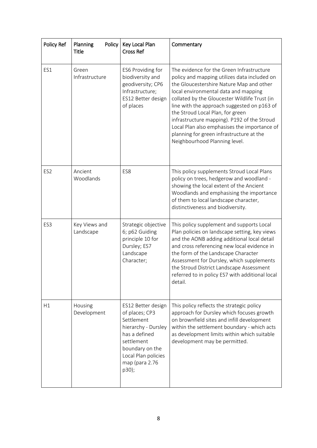| Policy Ref      | Policy<br>Planning<br><b>Title</b> | Key Local Plan<br><b>Cross Ref</b>                                                                                                                                            | Commentary                                                                                                                                                                                                                                                                                                                                                                                                                                                                                    |
|-----------------|------------------------------------|-------------------------------------------------------------------------------------------------------------------------------------------------------------------------------|-----------------------------------------------------------------------------------------------------------------------------------------------------------------------------------------------------------------------------------------------------------------------------------------------------------------------------------------------------------------------------------------------------------------------------------------------------------------------------------------------|
| ES1             | Green<br>Infrastructure            | ES6 Providing for<br>biodiversity and<br>geodiversity; CP6<br>Infrastructure;<br>ES12 Better design<br>of places                                                              | The evidence for the Green Infrastructure<br>policy and mapping utilizes data included on<br>the Gloucestershire Nature Map and other<br>local environmental data and mapping<br>collated by the Gloucester Wildlife Trust (in<br>line with the approach suggested on p163 of<br>the Stroud Local Plan, for green<br>infrastructure mapping). P192 of the Stroud<br>Local Plan also emphasises the importance of<br>planning for green infrastructure at the<br>Neighbourhood Planning level. |
| ES <sub>2</sub> | Ancient<br>Woodlands               | ES8                                                                                                                                                                           | This policy supplements Stroud Local Plans<br>policy on trees, hedgerow and woodland -<br>showing the local extent of the Ancient<br>Woodlands and emphasising the importance<br>of them to local landscape character,<br>distinctiveness and biodiversity.                                                                                                                                                                                                                                   |
| ES <sub>3</sub> | Key Views and<br>Landscape         | Strategic objective<br>6; p62 Guiding<br>principle 10 for<br>Dursley; ES7<br>Landscape<br>Character;                                                                          | This policy supplement and supports Local<br>Plan policies on landscape setting, key views<br>and the AONB adding additional local detail<br>and cross referencing new local evidence in<br>the form of the Landscape Character<br>Assessment for Dursley, which supplements<br>the Stroud District Landscape Assessment<br>referred to in policy ES7 with additional local<br>detail.                                                                                                        |
| H1              | Housing<br>Development             | ES12 Better design<br>of places; CP3<br>Settlement<br>hierarchy - Dursley<br>has a defined<br>settlement<br>boundary on the<br>Local Plan policies<br>map (para 2.76<br>p30); | This policy reflects the strategic policy<br>approach for Dursley which focuses growth<br>on brownfield sites and infill development<br>within the settlement boundary - which acts<br>as development limits within which suitable<br>development may be permitted.                                                                                                                                                                                                                           |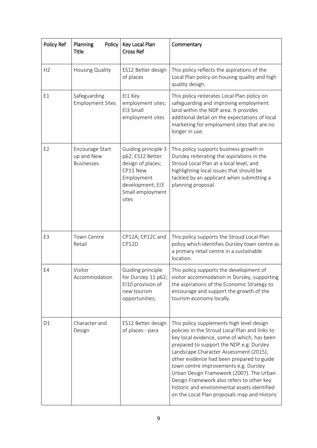| Policy Ref     | Planning<br>Policy<br><b>Title</b>                 | Key Local Plan<br><b>Cross Ref</b>                                                                                                      | Commentary                                                                                                                                                                                                                                                                                                                                                                                                                                                                                                      |
|----------------|----------------------------------------------------|-----------------------------------------------------------------------------------------------------------------------------------------|-----------------------------------------------------------------------------------------------------------------------------------------------------------------------------------------------------------------------------------------------------------------------------------------------------------------------------------------------------------------------------------------------------------------------------------------------------------------------------------------------------------------|
| H <sub>2</sub> | Housing Quality                                    | ES12 Better design<br>of places                                                                                                         | This policy reflects the aspirations of the<br>Local Plan policy on housing quality and high<br>quality design.                                                                                                                                                                                                                                                                                                                                                                                                 |
| E1             | Safeguarding<br><b>Employment Sites</b>            | EI1 Key<br>employment sites;<br>EI3 Small<br>employment sites                                                                           | This policy reiterates Local Plan policy on<br>safeguarding and improving employment<br>land within the NDP area. It provides<br>additional detail on the expectations of local<br>marketing for employment sites that are no<br>longer in use.                                                                                                                                                                                                                                                                 |
| E <sub>2</sub> | Encourage Start<br>up and New<br><b>Businesses</b> | Guiding principle 3<br>p62; ES12 Better<br>design of places;<br>CP11 New<br>Employment<br>development; EI3<br>Small employment<br>sites | This policy supports business growth in<br>Dursley reiterating the aspirations in the<br>Stroud Local Plan at a local level, and<br>highlighting local issues that should be<br>tackled by an applicant when submitting a<br>planning proposal.                                                                                                                                                                                                                                                                 |
| E <sub>3</sub> | Town Centre<br>Retail                              | CP12A; CP12C and<br>CP12D                                                                                                               | This policy supports the Stroud Local Plan<br>policy which identifies Dursley town centre as<br>a primary retail centre in a sustainable<br>location.                                                                                                                                                                                                                                                                                                                                                           |
| E4             | Visitor<br>Accommodation                           | Guiding principle<br>for Dursley 11 p62;<br>EI10 provision of<br>new tourism<br>opportunities;                                          | This policy supports the development of<br>visitor accommodation in Dursley, supporting<br>the aspirations of the Economic Strategy to<br>encourage and support the growth of the<br>tourism economy locally.                                                                                                                                                                                                                                                                                                   |
| D <sub>1</sub> | Character and<br>Design                            | ES12 Better design<br>of places - para                                                                                                  | This policy supplements high level design<br>policies in the Stroud Local Plan and links to<br>key local evidence, some of which, has been<br>prepared to support the NDP e.g. Dursley<br>Landscape Character Assessment (2015),<br>other evidence had been prepared to guide<br>town centre improvements e.g. Dursley<br>Urban Design Framework (2007). The Urban<br>Design Framework also refers to other key<br>historic and environmental assets identified<br>on the Local Plan proposals map and Historic |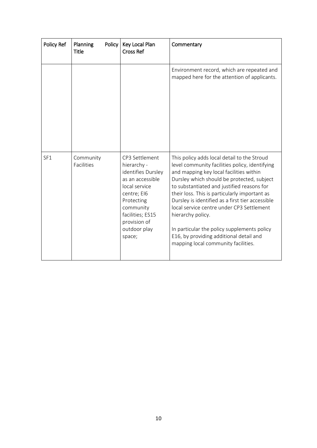| Policy Ref | Planning<br>Policy<br><b>Title</b> | Key Local Plan<br><b>Cross Ref</b>                                                                                                                                                               | Commentary                                                                                                                                                                                                                                                                                                                                                                                                                                                                                                                                   |
|------------|------------------------------------|--------------------------------------------------------------------------------------------------------------------------------------------------------------------------------------------------|----------------------------------------------------------------------------------------------------------------------------------------------------------------------------------------------------------------------------------------------------------------------------------------------------------------------------------------------------------------------------------------------------------------------------------------------------------------------------------------------------------------------------------------------|
|            |                                    |                                                                                                                                                                                                  | Environment record, which are repeated and<br>mapped here for the attention of applicants.                                                                                                                                                                                                                                                                                                                                                                                                                                                   |
| SF1        | Community<br>Facilities            | CP3 Settlement<br>hierarchy -<br>identifies Dursley<br>as an accessible<br>local service<br>centre; EI6<br>Protecting<br>community<br>facilities; ES15<br>provision of<br>outdoor play<br>space; | This policy adds local detail to the Stroud<br>level community facilities policy, identifying<br>and mapping key local facilities within<br>Dursley which should be protected, subject<br>to substantiated and justified reasons for<br>their loss. This is particularly important as<br>Dursley is identified as a first tier accessible<br>local service centre under CP3 Settlement<br>hierarchy policy.<br>In particular the policy supplements policy<br>E16, by providing additional detail and<br>mapping local community facilities. |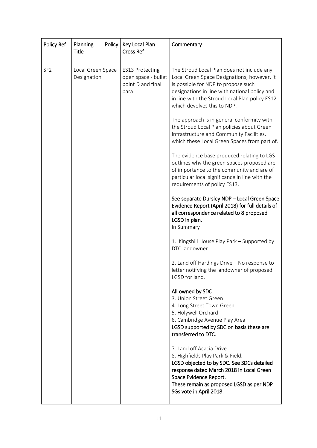| Policy Ref      | Planning<br>Policy<br><b>Title</b> | Key Local Plan<br><b>Cross Ref</b>                                         | Commentary                                                                                                                                                                                                                                                         |
|-----------------|------------------------------------|----------------------------------------------------------------------------|--------------------------------------------------------------------------------------------------------------------------------------------------------------------------------------------------------------------------------------------------------------------|
| SF <sub>2</sub> | Local Green Space<br>Designation   | <b>ES13 Protecting</b><br>open space - bullet<br>point D and final<br>para | The Stroud Local Plan does not include any<br>Local Green Space Designations; however, it<br>is possible for NDP to propose such<br>designations in line with national policy and<br>in line with the Stroud Local Plan policy ES12<br>which devolves this to NDP. |
|                 |                                    |                                                                            | The approach is in general conformity with<br>the Stroud Local Plan policies about Green<br>Infrastructure and Community Facilities,<br>which these Local Green Spaces from part of.                                                                               |
|                 |                                    |                                                                            | The evidence base produced relating to LGS<br>outlines why the green spaces proposed are<br>of importance to the community and are of<br>particular local significance in line with the<br>requirements of policy ES13.                                            |
|                 |                                    |                                                                            | See separate Dursley NDP - Local Green Space<br>Evidence Report (April 2018) for full details of<br>all correspondence related to 8 proposed<br>LGSD in plan.<br>In Summary                                                                                        |
|                 |                                    |                                                                            | 1. Kingshill House Play Park - Supported by<br>DTC landowner.                                                                                                                                                                                                      |
|                 |                                    |                                                                            | 2. Land off Hardings Drive - No response to<br>letter notifying the landowner of proposed<br>LGSD for land.                                                                                                                                                        |
|                 |                                    |                                                                            | All owned by SDC<br>3. Union Street Green<br>4. Long Street Town Green<br>5. Holywell Orchard<br>6. Cambridge Avenue Play Area<br>LGSD supported by SDC on basis these are<br>transferred to DTC.                                                                  |
|                 |                                    |                                                                            | 7. Land off Acacia Drive<br>8. Highfields Play Park & Field.<br>LGSD objected to by SDC. See SDCs detailed<br>response dated March 2018 in Local Green<br>Space Evidence Report.<br>These remain as proposed LGSD as per NDP<br>SGs vote in April 2018.            |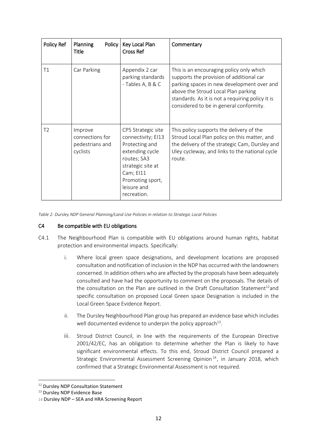| Policy Ref     | <b>Planning</b><br>Policy<br><b>Title</b>                 | Key Local Plan<br><b>Cross Ref</b>                                                                                                                                               | Commentary                                                                                                                                                                                                                                                               |
|----------------|-----------------------------------------------------------|----------------------------------------------------------------------------------------------------------------------------------------------------------------------------------|--------------------------------------------------------------------------------------------------------------------------------------------------------------------------------------------------------------------------------------------------------------------------|
| T1             | Car Parking                                               | Appendix 2 car<br>parking standards<br>- Tables A, B & C                                                                                                                         | This is an encouraging policy only which<br>supports the provision of additional car<br>parking spaces in new development over and<br>above the Stroud Local Plan parking<br>standards. As it is not a requiring policy it is<br>considered to be in general conformity. |
| T <sub>2</sub> | Improve<br>connections for<br>pedestrians and<br>cyclists | CP5 Strategic site<br>connectivity; EI13<br>Protecting and<br>extending cycle<br>routes; SA3<br>strategic site at<br>Cam; EI11<br>Promoting sport,<br>leisure and<br>recreation. | This policy supports the delivery of the<br>Stroud Local Plan policy on this matter, and<br>the delivery of the strategic Cam, Dursley and<br>Uley cycleway, and links to the national cycle<br>route.                                                                   |

*Table 2: Dursley NDP General Planning/Land Use Policies in relation to Strategic Local Policies*

#### C4 Be compatible with EU obligations

- C4.1 The Neighbourhood Plan is compatible with EU obligations around human rights, habitat protection and environmental impacts. Specifically:
	- i. Where local green space designations, and development locations are proposed consultation and notification of inclusion in the NDP has occurred with the landowners concerned. In addition others who are affected by the proposals have been adequately consulted and have had the opportunity to comment on the proposals. The details of the consultation on the Plan are outlined in the Draft Consultation Statement<sup>12</sup>and specific consultation on proposed Local Green space Designation is included in the Local Green Space Evidence Report.
	- ii. The Dursley Neighbourhood Plan group has prepared an evidence base which includes well documented evidence to underpin the policy approach $^{13}$ .
	- iii. Stroud District Council, in line with the requirements of the European Directive 2001/42/EC, has an obligation to determine whether the Plan is likely to have significant environmental effects. To this end, Stroud District Council prepared a Strategic Environmental Assessment Screening Opinion<sup>14</sup>, in January 2018, which confirmed that a Strategic Environmental Assessment is not required.

<sup>&</sup>lt;sup>12</sup> Dursley NDP Consultation Statement

<sup>&</sup>lt;sup>13</sup> Dursley NDP Evidence Base

<sup>14</sup> Dursley NDP – SEA and HRA Screening Report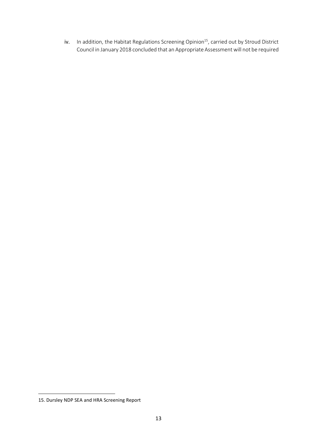iv.  $\;$  In addition, the Habitat Regulations Screening Opinion $^{15}$ , carried out by Stroud District Council in January 2018 concluded that an Appropriate Assessment will not be required

<sup>15.</sup> Dursley NDP SEA and HRA Screening Report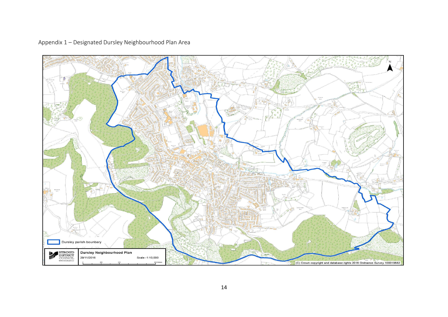Appendix 1 – Designated Dursley Neighbourhood Plan Area

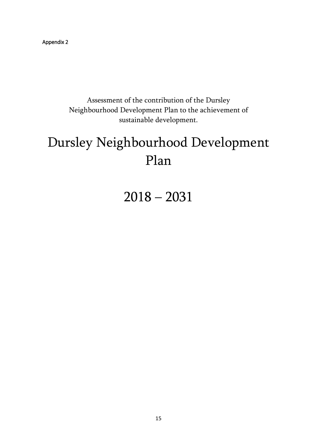Appendix 2

Assessment of the contribution of the Dursley Neighbourhood Development Plan to the achievement of sustainable development.

# Dursley Neighbourhood Development Plan

2018 – 2031

15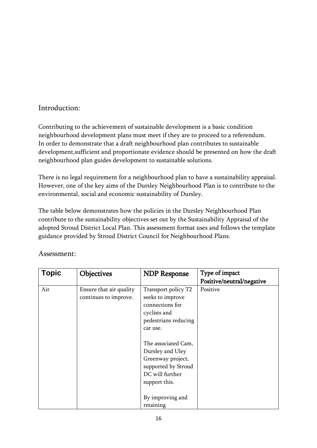### Introduction:

Contributing to the achievement of sustainable development is a basic condition neighbourhood development plans must meet if they are to proceed to a referendum. In order to demonstrate that a draft neighbourhood plan contributes to sustainable development,sufficient and proportionate evidence should be presented on how the draft neighbourhood plan guides development to sustainable solutions.

There is no legal requirement for a neighbourhood plan to have a sustainability appraisal. However, one of the key aims of the Dursley Neighbourhood Plan is to contribute to the environmental, social and economic sustainability of Dursley.

The table below demonstrates how the policies in the Dursley Neighbourhood Plan contribute to the sustainability objectives set out by the Sustainability Appraisal of the adopted Stroud District Local Plan. This assessment format uses and follows the template guidance provided by Stroud District Council for Neighbourhood Plans.

| <b>Topic</b> | <b>Objectives</b>                                | <b>NDP Response</b>                                                                                                     | Type of impact            |
|--------------|--------------------------------------------------|-------------------------------------------------------------------------------------------------------------------------|---------------------------|
|              |                                                  |                                                                                                                         | Positive/neutral/negative |
| Air          | Ensure that air quality<br>continues to improve. | Transport policy T2<br>seeks to improve<br>connections for<br>cyclists and<br>pedestrians reducing<br>car use.          | Positive                  |
|              |                                                  | The associated Cam,<br>Dursley and Uley<br>Greenway project,<br>supported by Stroud<br>DC will further<br>support this. |                           |
|              |                                                  | By improving and<br>retaining                                                                                           |                           |

### Assessment: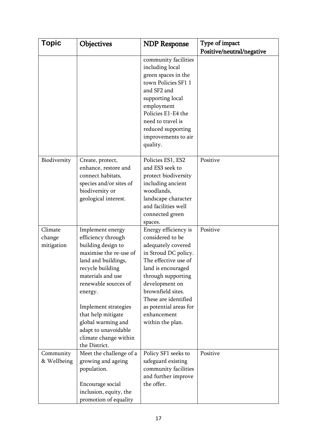| Topic                           | <b>Objectives</b>                                                                                                                                                                                                                                                                                                               | <b>NDP Response</b>                                                                                                                                                                                                                                                                    | Type of impact            |
|---------------------------------|---------------------------------------------------------------------------------------------------------------------------------------------------------------------------------------------------------------------------------------------------------------------------------------------------------------------------------|----------------------------------------------------------------------------------------------------------------------------------------------------------------------------------------------------------------------------------------------------------------------------------------|---------------------------|
|                                 |                                                                                                                                                                                                                                                                                                                                 |                                                                                                                                                                                                                                                                                        | Positive/neutral/negative |
|                                 |                                                                                                                                                                                                                                                                                                                                 | community facilities<br>including local<br>green spaces in the<br>town Policies SF1 1<br>and SF2 and<br>supporting local<br>employment<br>Policies E1-E4 the<br>need to travel is<br>reduced supporting<br>improvements to air<br>quality.                                             |                           |
| Biodiversity                    | Create, protect,<br>enhance, restore and<br>connect habitats,<br>species and/or sites of<br>biodiversity or<br>geological interest.                                                                                                                                                                                             | Policies ES1, ES2<br>and ES3 seek to<br>protect biodiversity<br>including ancient<br>woodlands,<br>landscape character<br>and facilities well<br>connected green<br>spaces.                                                                                                            | Positive                  |
| Climate<br>change<br>mitigation | Implement energy<br>efficiency through<br>building design to<br>maximise the re-use of<br>land and buildings,<br>recycle building<br>materials and use<br>renewable sources of<br>energy.<br>Implement strategies<br>that help mitigate<br>global warming and<br>adapt to unavoidable<br>climate change within<br>the District. | Energy efficiency is<br>considered to be<br>adequately covered<br>in Stroud DC policy.<br>The effective use of<br>land is encouraged<br>through supporting<br>development on<br>brownfield sites.<br>These are identified<br>as potential areas for<br>enhancement<br>within the plan. | Positive                  |
| Community<br>& Wellbeing        | Meet the challenge of a<br>growing and ageing<br>population.<br>Encourage social<br>inclusion, equity, the<br>promotion of equality                                                                                                                                                                                             | Policy SF1 seeks to<br>safeguard existing<br>community facilities<br>and further improve<br>the offer.                                                                                                                                                                                 | Positive                  |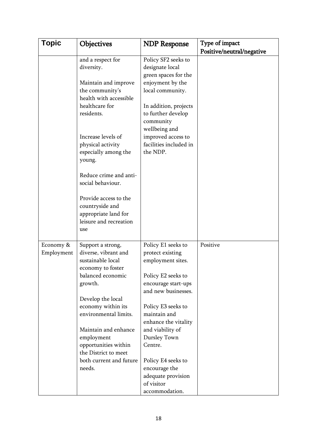| <b>Topic</b>            | Objectives                                                                                                                                                                                                                                                                                | <b>NDP Response</b>                                                                                                                                                                                                                             | Type of impact            |
|-------------------------|-------------------------------------------------------------------------------------------------------------------------------------------------------------------------------------------------------------------------------------------------------------------------------------------|-------------------------------------------------------------------------------------------------------------------------------------------------------------------------------------------------------------------------------------------------|---------------------------|
|                         | and a respect for<br>diversity.<br>Maintain and improve<br>the community's<br>health with accessible<br>healthcare for<br>residents.<br>Increase levels of<br>physical activity<br>especially among the<br>young.<br>Reduce crime and anti-<br>social behaviour.<br>Provide access to the | Policy SF2 seeks to<br>designate local<br>green spaces for the<br>enjoyment by the<br>local community.<br>In addition, projects<br>to further develop<br>community<br>wellbeing and<br>improved access to<br>facilities included in<br>the NDP. | Positive/neutral/negative |
|                         | countryside and<br>appropriate land for<br>leisure and recreation<br>use                                                                                                                                                                                                                  |                                                                                                                                                                                                                                                 |                           |
| Economy &<br>Employment | Support a strong,<br>diverse, vibrant and<br>sustainable local<br>economy to foster                                                                                                                                                                                                       | Policy E1 seeks to<br>protect existing<br>employment sites.                                                                                                                                                                                     | Positive                  |
|                         | balanced economic<br>growth.                                                                                                                                                                                                                                                              | Policy E2 seeks to<br>encourage start-ups<br>and new businesses.                                                                                                                                                                                |                           |
|                         | Develop the local<br>economy within its<br>environmental limits.                                                                                                                                                                                                                          | Policy E3 seeks to<br>maintain and<br>enhance the vitality                                                                                                                                                                                      |                           |
|                         | Maintain and enhance<br>employment<br>opportunities within<br>the District to meet                                                                                                                                                                                                        | and viability of<br>Dursley Town<br>Centre.                                                                                                                                                                                                     |                           |
|                         | both current and future<br>needs.                                                                                                                                                                                                                                                         | Policy E4 seeks to<br>encourage the<br>adequate provision<br>of visitor<br>accommodation.                                                                                                                                                       |                           |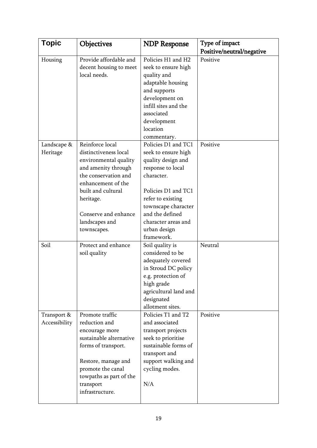| <b>Topic</b>                 | Objectives                                                                                                                                                                                                                         | <b>NDP Response</b>                                                                                                                                                                                                                            | Type of impact                        |
|------------------------------|------------------------------------------------------------------------------------------------------------------------------------------------------------------------------------------------------------------------------------|------------------------------------------------------------------------------------------------------------------------------------------------------------------------------------------------------------------------------------------------|---------------------------------------|
| Housing                      | Provide affordable and<br>decent housing to meet<br>local needs.                                                                                                                                                                   | Policies H1 and H2<br>seek to ensure high<br>quality and<br>adaptable housing<br>and supports<br>development on<br>infill sites and the<br>associated<br>development<br>location<br>commentary.                                                | Positive/neutral/negative<br>Positive |
| Landscape &<br>Heritage      | Reinforce local<br>distinctiveness local<br>environmental quality<br>and amenity through<br>the conservation and<br>enhancement of the<br>built and cultural<br>heritage.<br>Conserve and enhance<br>landscapes and<br>townscapes. | Policies D1 and TC1<br>seek to ensure high<br>quality design and<br>response to local<br>character.<br>Policies D1 and TC1<br>refer to existing<br>townscape character<br>and the defined<br>character areas and<br>urban design<br>framework. | Positive                              |
| Soil                         | Protect and enhance<br>soil quality                                                                                                                                                                                                | Soil quality is<br>considered to be<br>adequately covered<br>in Stroud DC policy<br>e.g. protection of<br>high grade<br>agricultural land and<br>designated<br>allotment sites.                                                                | Neutral                               |
| Transport &<br>Accessibility | Promote traffic<br>reduction and<br>encourage more<br>sustainable alternative<br>forms of transport.<br>Restore, manage and<br>promote the canal<br>towpaths as part of the<br>transport<br>infrastructure.                        | Policies T1 and T2<br>and associated<br>transport projects<br>seek to prioritise<br>sustainable forms of<br>transport and<br>support walking and<br>cycling modes.<br>N/A                                                                      | Positive                              |